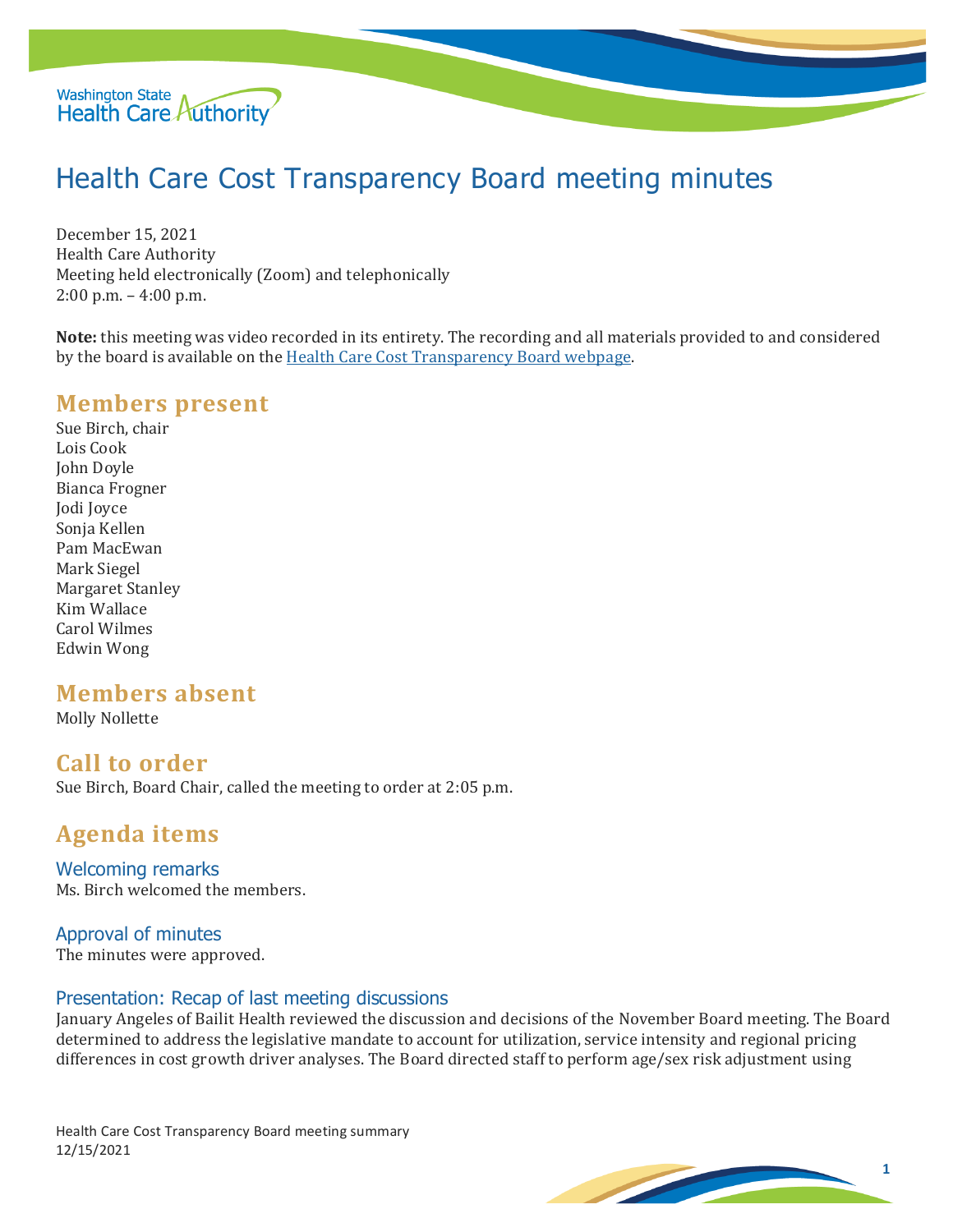

# Health Care Cost Transparency Board meeting minutes

December 15, 2021 Health Care Authority Meeting held electronically (Zoom) and telephonically 2:00 p.m. – 4:00 p.m.

**Note:** this meeting was video recorded in its entirety. The recording and all materials provided to and considered by the board is available on the [Health Care Cost Transparency Board webpage.](https://www.hca.wa.gov/about-hca/health-care-cost-transparency-board)

## **Members present**

Sue Birch, chair Lois Cook John Doyle Bianca Frogner Jodi Joyce Sonja Kellen Pam MacEwan Mark Siegel Margaret Stanley Kim Wallace Carol Wilmes Edwin Wong

# **Members absent**

Molly Nollette

## **Call to order**

Sue Birch, Board Chair, called the meeting to order at 2:05 p.m.

# **Agenda items**

Welcoming remarks Ms. Birch welcomed the members.

#### Approval of minutes

The minutes were approved.

#### Presentation: Recap of last meeting discussions

January Angeles of Bailit Health reviewed the discussion and decisions of the November Board meeting. The Board determined to address the legislative mandate to account for utilization, service intensity and regional pricing differences in cost growth driver analyses. The Board directed staff to perform age/sex risk adjustment using

Health Care Cost Transparency Board meeting summary 12/15/2021

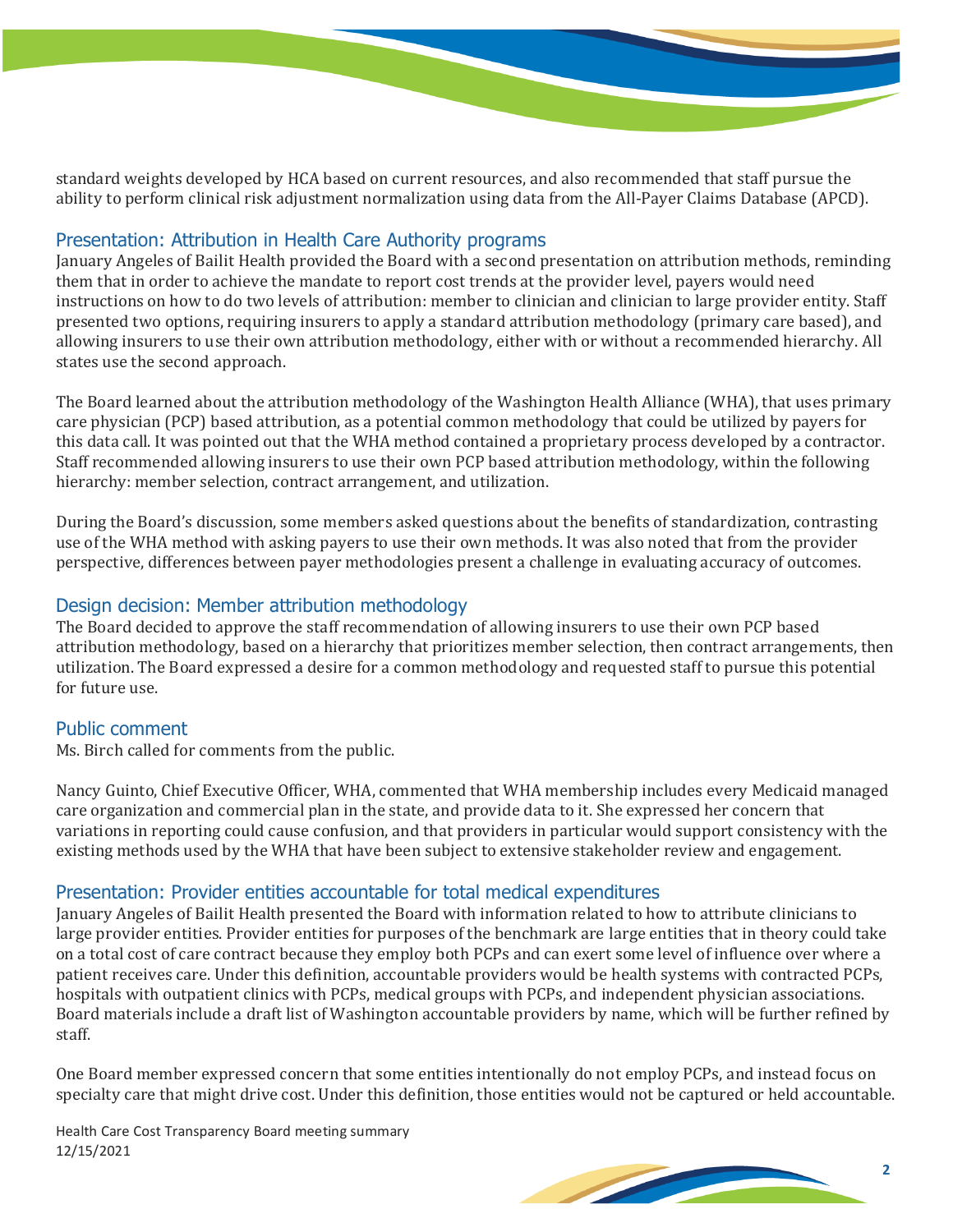standard weights developed by HCA based on current resources, and also recommended that staff pursue the ability to perform clinical risk adjustment normalization using data from the All-Payer Claims Database (APCD).

### Presentation: Attribution in Health Care Authority programs

January Angeles of Bailit Health provided the Board with a second presentation on attribution methods, reminding them that in order to achieve the mandate to report cost trends at the provider level, payers would need instructions on how to do two levels of attribution: member to clinician and clinician to large provider entity. Staff presented two options, requiring insurers to apply a standard attribution methodology (primary care based), and allowing insurers to use their own attribution methodology, either with or without a recommended hierarchy. All states use the second approach.

The Board learned about the attribution methodology of the Washington Health Alliance (WHA), that uses primary care physician (PCP) based attribution, as a potential common methodology that could be utilized by payers for this data call. It was pointed out that the WHA method contained a proprietary process developed by a contractor. Staff recommended allowing insurers to use their own PCP based attribution methodology, within the following hierarchy: member selection, contract arrangement, and utilization.

During the Board's discussion, some members asked questions about the benefits of standardization, contrasting use of the WHA method with asking payers to use their own methods. It was also noted that from the provider perspective, differences between payer methodologies present a challenge in evaluating accuracy of outcomes.

### Design decision: Member attribution methodology

The Board decided to approve the staff recommendation of allowing insurers to use their own PCP based attribution methodology, based on a hierarchy that prioritizes member selection, then contract arrangements, then utilization. The Board expressed a desire for a common methodology and requested staff to pursue this potential for future use.

#### Public comment

Ms. Birch called for comments from the public.

Nancy Guinto, Chief Executive Officer, WHA, commented that WHA membership includes every Medicaid managed care organization and commercial plan in the state, and provide data to it. She expressed her concern that variations in reporting could cause confusion, and that providers in particular would support consistency with the existing methods used by the WHA that have been subject to extensive stakeholder review and engagement.

#### Presentation: Provider entities accountable for total medical expenditures

January Angeles of Bailit Health presented the Board with information related to how to attribute clinicians to large provider entities. Provider entities for purposes of the benchmark are large entities that in theory could take on a total cost of care contract because they employ both PCPs and can exert some level of influence over where a patient receives care. Under this definition, accountable providers would be health systems with contracted PCPs, hospitals with outpatient clinics with PCPs, medical groups with PCPs, and independent physician associations. Board materials include a draft list of Washington accountable providers by name, which will be further refined by staff.

One Board member expressed concern that some entities intentionally do not employ PCPs, and instead focus on specialty care that might drive cost. Under this definition, those entities would not be captured or held accountable.

Health Care Cost Transparency Board meeting summary 12/15/2021